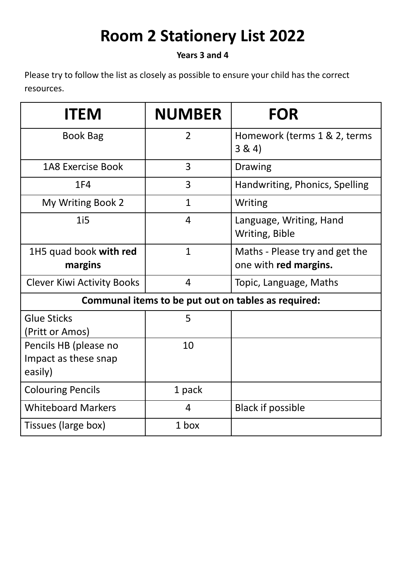## **Room 2 Stationery List 2022**

## **Years 3 and 4**

Please try to follow the list as closely as possible to ensure your child has the correct resources.

| <b>ITEM</b>                                              | <b>NUMBER</b>  | <b>FOR</b>                                              |
|----------------------------------------------------------|----------------|---------------------------------------------------------|
| <b>Book Bag</b>                                          | $\overline{2}$ | Homework (terms 1 & 2, terms<br>3 & 4)                  |
| <b>1A8 Exercise Book</b>                                 | 3              | <b>Drawing</b>                                          |
| <b>1F4</b>                                               | $\overline{3}$ | Handwriting, Phonics, Spelling                          |
| My Writing Book 2                                        | $\mathbf{1}$   | Writing                                                 |
| 1i5                                                      | $\overline{4}$ | Language, Writing, Hand<br>Writing, Bible               |
| 1H5 quad book with red<br>margins                        | $\mathbf{1}$   | Maths - Please try and get the<br>one with red margins. |
| <b>Clever Kiwi Activity Books</b>                        | $\overline{4}$ | Topic, Language, Maths                                  |
| Communal items to be put out on tables as required:      |                |                                                         |
| <b>Glue Sticks</b><br>(Pritt or Amos)                    | 5              |                                                         |
| Pencils HB (please no<br>Impact as these snap<br>easily) | 10             |                                                         |
| <b>Colouring Pencils</b>                                 | 1 pack         |                                                         |
| <b>Whiteboard Markers</b>                                | $\overline{4}$ | <b>Black if possible</b>                                |
| Tissues (large box)                                      | 1 box          |                                                         |